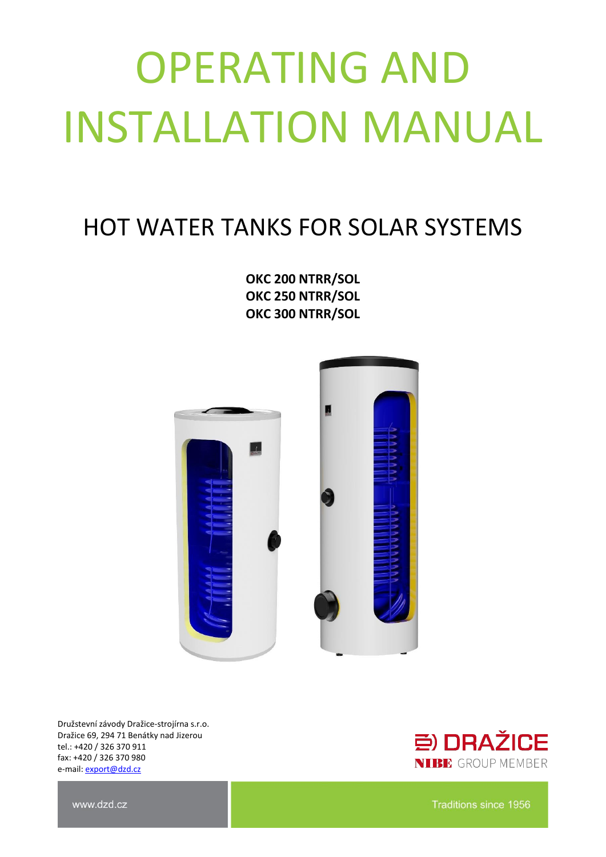# OPERATING AND INSTALLATION MANUAL

## HOT WATER TANKS FOR SOLAR SYSTEMS

**OKC 200 NTRR/SOL OKC 250 NTRR/SOL OKC 300 NTRR/SOL**



Družstevní závody Dražice-strojírna s.r.o. Dražice 69, 294 71 Benátky nad Jizerou tel.: +420 / 326 370 911 fax: +420 / 326 370 980 e-mail: [export@dzd.cz](mailto:export@dzd.cz)



www.dzd.cz

Traditions since 1956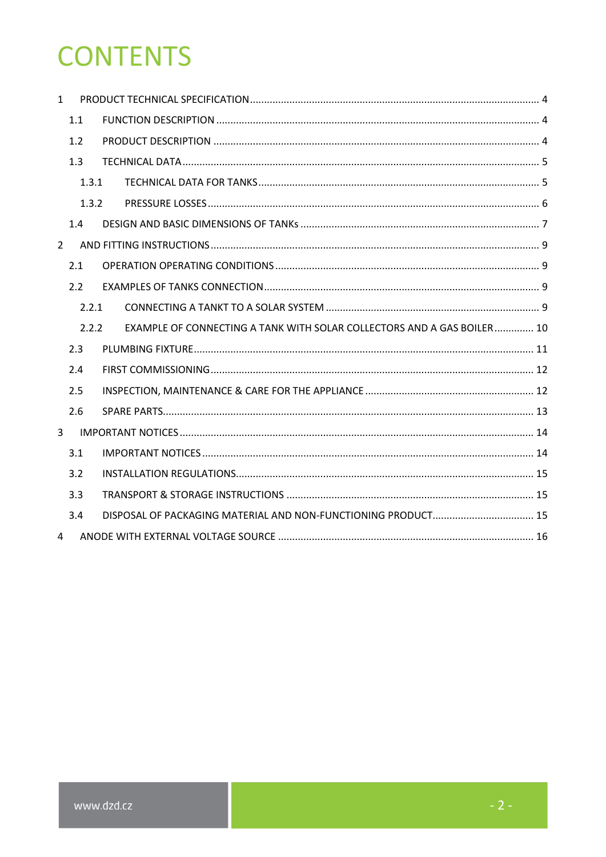## **CONTENTS**

| $\mathbf{1}$   |       |                                                                        |  |
|----------------|-------|------------------------------------------------------------------------|--|
|                | 1.1   |                                                                        |  |
|                | 1.2   |                                                                        |  |
|                | 1.3   |                                                                        |  |
|                | 1.3.1 |                                                                        |  |
|                | 1.3.2 |                                                                        |  |
|                | 1.4   |                                                                        |  |
| $\overline{2}$ |       |                                                                        |  |
|                | 2.1   |                                                                        |  |
|                | 2.2   |                                                                        |  |
|                | 2.2.1 |                                                                        |  |
|                | 2.2.2 | EXAMPLE OF CONNECTING A TANK WITH SOLAR COLLECTORS AND A GAS BOILER 10 |  |
|                | 2.3   |                                                                        |  |
|                | 2.4   |                                                                        |  |
|                | 2.5   |                                                                        |  |
|                | 2.6   |                                                                        |  |
| 3              |       |                                                                        |  |
|                |       |                                                                        |  |
|                | 3.1   |                                                                        |  |
|                | 3.2   |                                                                        |  |
|                | 3.3   |                                                                        |  |
|                | 3.4   |                                                                        |  |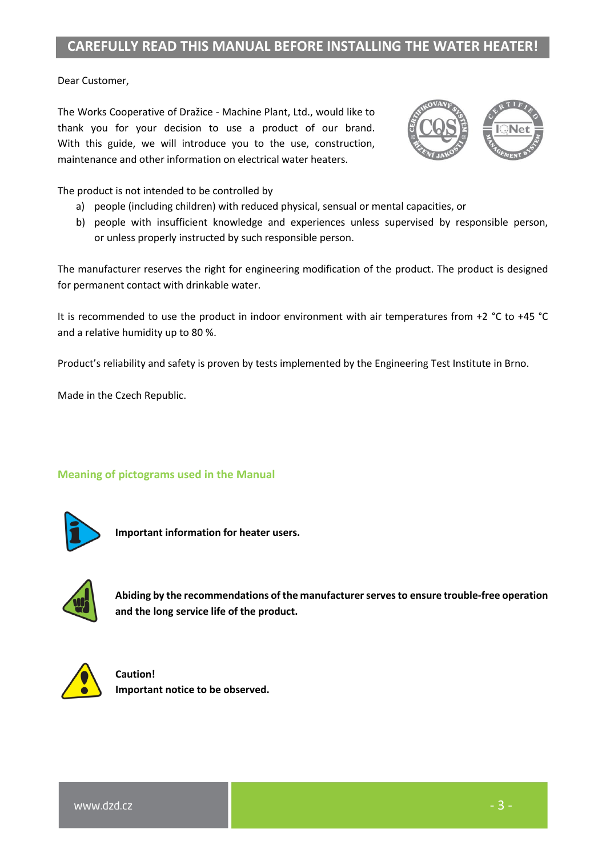#### **CAREFULLY READ THIS MANUAL BEFORE INSTALLING THE WATER HEATER!**

Dear Customer,

The Works Cooperative of Dražice - Machine Plant, Ltd., would like to thank you for your decision to use a product of our brand. With this guide, we will introduce you to the use, construction, maintenance and other information on electrical water heaters.



The product is not intended to be controlled by

- a) people (including children) with reduced physical, sensual or mental capacities, or
- b) people with insufficient knowledge and experiences unless supervised by responsible person, or unless properly instructed by such responsible person.

The manufacturer reserves the right for engineering modification of the product. The product is designed for permanent contact with drinkable water.

It is recommended to use the product in indoor environment with air temperatures from +2 °C to +45 °C and a relative humidity up to 80 %.

Product's reliability and safety is proven by tests implemented by the Engineering Test Institute in Brno.

Made in the Czech Republic.

**Meaning of pictograms used in the Manual**



**Important information for heater users.**



**Abiding by the recommendations of the manufacturer serves to ensure trouble-free operation and the long service life of the product.**



**Caution! Important notice to be observed.**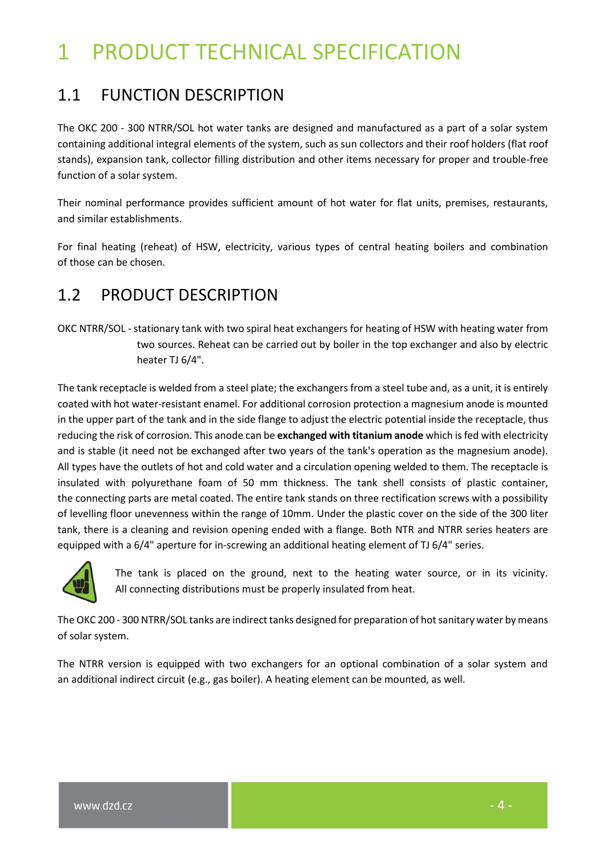## <span id="page-3-0"></span>1 PRODUCT TECHNICAL SPECIFICATION

## <span id="page-3-1"></span>1.1 FUNCTION DESCRIPTION

The OKC 200 - 300 NTRR/SOL hot water tanks are designed and manufactured as a part of a solar system containing additional integral elements of the system, such as sun collectors and their roof holders (flat roof stands), expansion tank, collector filling distribution and other items necessary for proper and trouble-free function of a solar system.

Their nominal performance provides sufficient amount of hot water for flat units, premises, restaurants, and similar establishments.

For final heating (reheat) of HSW, electricity, various types of central heating boilers and combination of those can be chosen.

## <span id="page-3-2"></span>1.2 PRODUCT DESCRIPTION

OKC NTRR/SOL - stationary tank with two spiral heat exchangers for heating of HSW with heating water from two sources. Reheat can be carried out by boiler in the top exchanger and also by electric heater TJ 6/4".

The tank receptacle is welded from a steel plate; the exchangers from a steel tube and, as a unit, it is entirely coated with hot water-resistant enamel. For additional corrosion protection a magnesium anode is mounted in the upper part of the tank and in the side flange to adjust the electric potential inside the receptacle, thus reducing the risk of corrosion. This anode can be **exchanged with titanium anode** which is fed with electricity and is stable (it need not be exchanged after two years of the tank's operation as the magnesium anode). All types have the outlets of hot and cold water and a circulation opening welded to them. The receptacle is insulated with polyurethane foam of 50 mm thickness. The tank shell consists of plastic container, the connecting parts are metal coated. The entire tank stands on three rectification screws with a possibility of levelling floor unevenness within the range of 10mm. Under the plastic cover on the side of the 300 liter tank, there is a cleaning and revision opening ended with a flange. Both NTR and NTRR series heaters are equipped with a 6/4" aperture for in-screwing an additional heating element of TJ 6/4" series.



The tank is placed on the ground, next to the heating water source, or in its vicinity. All connecting distributions must be properly insulated from heat.

The OKC 200 - 300 NTRR/SOL tanks are indirect tanks designed for preparation of hot sanitary water by means of solar system.

The NTRR version is equipped with two exchangers for an optional combination of a solar system and an additional indirect circuit (e.g., gas boiler). A heating element can be mounted, as well.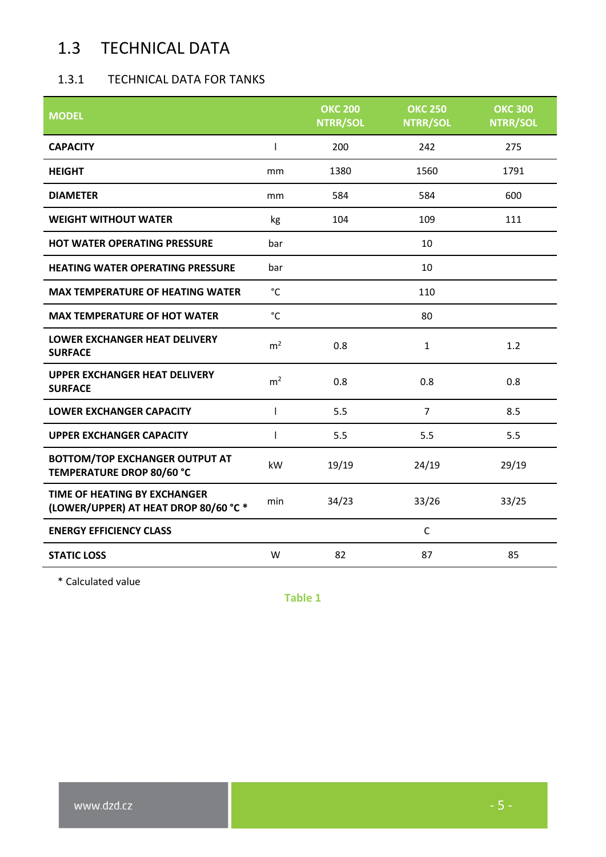## <span id="page-4-0"></span>1.3 TECHNICAL DATA

#### <span id="page-4-1"></span>1.3.1 TECHNICAL DATA FOR TANKS

| <b>MODEL</b>                                                              |                          | <b>OKC 200</b><br>NTRR/SOL | <b>OKC 250</b><br><b>NTRR/SOL</b> | <b>OKC 300</b><br><b>NTRR/SOL</b> |
|---------------------------------------------------------------------------|--------------------------|----------------------------|-----------------------------------|-----------------------------------|
| <b>CAPACITY</b>                                                           | $\overline{\phantom{a}}$ | 200                        | 242                               | 275                               |
| <b>HEIGHT</b>                                                             | mm                       | 1380                       | 1560                              | 1791                              |
| <b>DIAMETER</b>                                                           | mm                       | 584                        | 584                               | 600                               |
| <b>WEIGHT WITHOUT WATER</b>                                               | kg                       | 104                        | 109                               | 111                               |
| <b>HOT WATER OPERATING PRESSURE</b>                                       | bar                      |                            | 10                                |                                   |
| <b>HEATING WATER OPERATING PRESSURE</b>                                   | bar                      |                            | 10                                |                                   |
| <b>MAX TEMPERATURE OF HEATING WATER</b>                                   | $^{\circ}$ C             |                            | 110                               |                                   |
| <b>MAX TEMPERATURE OF HOT WATER</b>                                       | $^{\circ}$ C             |                            | 80                                |                                   |
| <b>LOWER EXCHANGER HEAT DELIVERY</b><br><b>SURFACE</b>                    | m <sup>2</sup>           | 0.8                        | $\mathbf{1}$                      | 1.2                               |
| <b>UPPER EXCHANGER HEAT DELIVERY</b><br><b>SURFACE</b>                    | m <sup>2</sup>           | 0.8                        | 0.8                               | 0.8                               |
| <b>LOWER EXCHANGER CAPACITY</b>                                           | T                        | 5.5                        | $\overline{7}$                    | 8.5                               |
| <b>UPPER EXCHANGER CAPACITY</b>                                           | $\mathsf{I}$             | 5.5                        | 5.5                               | 5.5                               |
| <b>BOTTOM/TOP EXCHANGER OUTPUT AT</b><br><b>TEMPERATURE DROP 80/60 °C</b> | kW                       | 19/19                      | 24/19                             | 29/19                             |
| TIME OF HEATING BY EXCHANGER<br>(LOWER/UPPER) AT HEAT DROP 80/60 °C *     | min                      | 34/23                      | 33/26                             | 33/25                             |
| <b>ENERGY EFFICIENCY CLASS</b>                                            |                          |                            | $\mathsf{C}$                      |                                   |
| <b>STATIC LOSS</b>                                                        | W                        | 82                         | 87                                | 85                                |

\* Calculated value

**Table 1**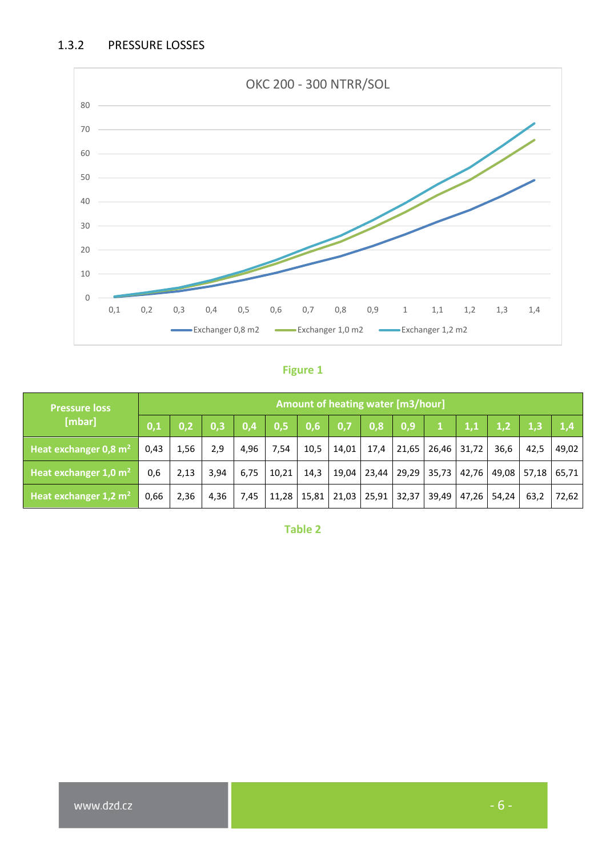<span id="page-5-0"></span>

#### **Figure 1**

| <b>Pressure loss</b>                    | Amount of heating water [m3/hour] |      |      |      |       |      |       |                   |     |  |                                                               |       |      |             |
|-----------------------------------------|-----------------------------------|------|------|------|-------|------|-------|-------------------|-----|--|---------------------------------------------------------------|-------|------|-------------|
| [mbar]                                  | $\bf{0,1}$                        | 0.2  | 0,3  | 0,4  | 0,5   | 0,6  | 0,7   | $\vert 0,8 \vert$ | 0,9 |  | $\vert 1,1 \vert$                                             | 1,2   | 1,3  | 1,4         |
| Heat exchanger $0.8 \text{ m}^2$        | 0,43                              | 1,56 | 2,9  | 4,96 | 7,54  | 10,5 | 14,01 | 17,4              |     |  | 21,65   26,46   31,72                                         | 36,6  | 42,5 | 49,02       |
| <b>Heat exchanger 1,0 m<sup>2</sup></b> | 0,6                               | 2,13 | 3,94 | 6,75 | 10,21 | 14,3 |       |                   |     |  | 19,04   23,44   29,29   35,73   42,76                         | 49,08 |      | 57,18 65,71 |
| Heat exchanger $1,2 \text{ m}^2$        | 0,66                              | 2,36 | 4,36 | 7,45 |       |      |       |                   |     |  | 11,28   15,81   21,03   25,91   32,37   39,49   47,26   54,24 |       | 63,2 | 72,62       |

**Table 2**

 $-6 -$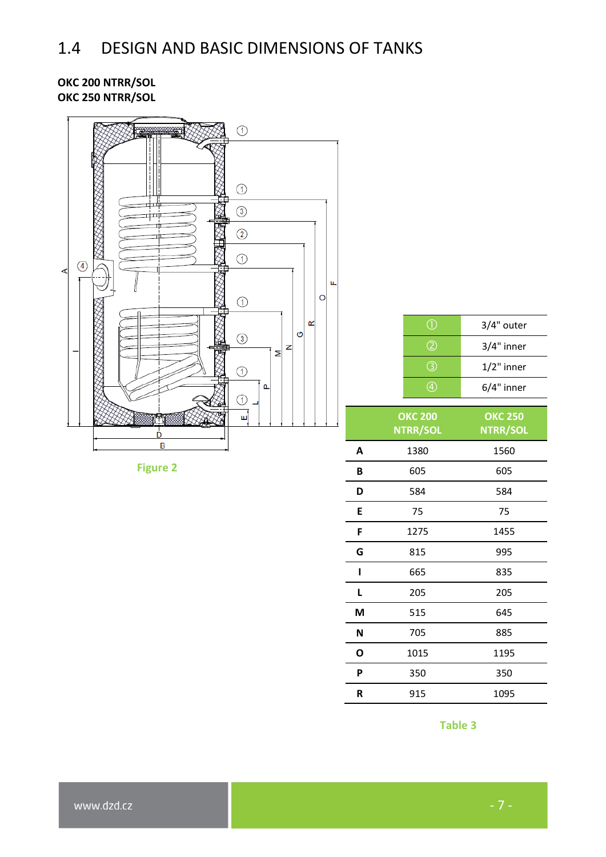### <span id="page-6-0"></span>1.4 DESIGN AND BASIC DIMENSIONS OF TANKS

#### **OKC 200 NTRR/SOL OKC 250 NTRR/SOL**

| $\circled{1}$<br>卫<br>➀<br>≔⊢<br>╈╈<br>$\circledS$<br>मंग्रां<br>$\circled{2}$<br>$\circledcirc$<br>$\circledast$<br>$\triangleleft$<br>Щ<br>$\circ$<br>$\bigcirc$<br>$\alpha$ |                           | $\bigcirc$                 | 3/4" outer                 |
|--------------------------------------------------------------------------------------------------------------------------------------------------------------------------------|---------------------------|----------------------------|----------------------------|
| $\circ$<br>$\circled{3}$<br>$\mathsf{z}$                                                                                                                                       |                           | $\circledcirc$             | 3/4" inner                 |
| Σ<br>$^{\circ}$                                                                                                                                                                |                           | $\circledS$                | $1/2$ " inner              |
| $\mathbf{a}$                                                                                                                                                                   |                           | $\bigcirc$                 | $6/4"$ inner               |
| ➀<br>ш<br>R+1<br>D                                                                                                                                                             |                           | <b>OKC 200</b><br>NTRR/SOL | <b>OKC 250</b><br>NTRR/SOL |
| $\sf B$                                                                                                                                                                        | $\boldsymbol{\mathsf{A}}$ | 1380                       | 1560                       |
| <b>Figure 2</b>                                                                                                                                                                | $\pmb B$                  | 605                        | 605                        |
|                                                                                                                                                                                | D                         | 584                        | 584                        |
|                                                                                                                                                                                | $\mathsf E$               | 75                         | 75                         |
|                                                                                                                                                                                | F                         | 1275                       | 1455                       |
|                                                                                                                                                                                | G                         | 815                        | 995                        |

**Table 3**

**I** 665 835 **L** 205 205 **M** 515 645 **N** 705 885 **O** 1015 1195

**P** 350 350 **R** 915 1095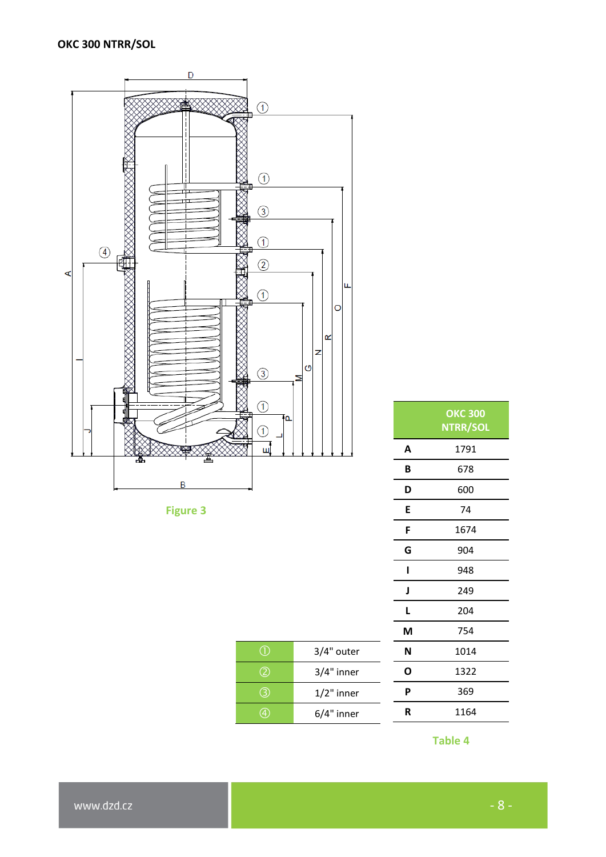

**Figure 3**

|                     | $3/4"$ outer  |
|---------------------|---------------|
| $\ddot{\mathbf{Q}}$ | $3/4"$ inner  |
| 3)                  | $1/2$ " inner |
| ø                   | $6/4"$ inner  |

|   | <b>OKC 300</b><br><b>NTRR/SOL</b> |
|---|-----------------------------------|
| A | 1791                              |
| В | 678                               |
| D | 600                               |
| E | 74                                |
| F | 1674                              |
| G | 904                               |
| ı | 948                               |
| J | 249                               |
| L | 204                               |
| М | 754                               |
| N | 1014                              |
| Ο | 1322                              |
| P | 369                               |
| R | 1164                              |

**Table 4**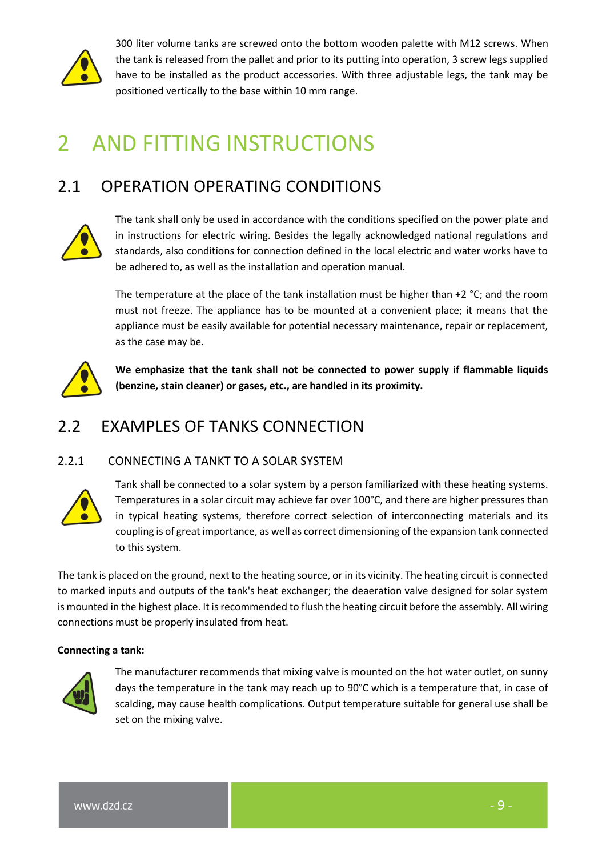

300 liter volume tanks are screwed onto the bottom wooden palette with M12 screws. When the tank is released from the pallet and prior to its putting into operation, 3 screw legs supplied have to be installed as the product accessories. With three adjustable legs, the tank may be positioned vertically to the base within 10 mm range.

## <span id="page-8-0"></span>2 AND FITTING INSTRUCTIONS

## <span id="page-8-1"></span>2.1 OPERATION OPERATING CONDITIONS



The tank shall only be used in accordance with the conditions specified on the power plate and in instructions for electric wiring. Besides the legally acknowledged national regulations and standards, also conditions for connection defined in the local electric and water works have to be adhered to, as well as the installation and operation manual.

The temperature at the place of the tank installation must be higher than +2  $\degree$ C; and the room must not freeze. The appliance has to be mounted at a convenient place; it means that the appliance must be easily available for potential necessary maintenance, repair or replacement, as the case may be.



**We emphasize that the tank shall not be connected to power supply if flammable liquids (benzine, stain cleaner) or gases, etc., are handled in its proximity.**

### <span id="page-8-2"></span>2.2 EXAMPLES OF TANKS CONNECTION

#### <span id="page-8-3"></span>2.2.1 CONNECTING A TANKT TO A SOLAR SYSTEM



Tank shall be connected to a solar system by a person familiarized with these heating systems. Temperatures in a solar circuit may achieve far over 100°C, and there are higher pressures than in typical heating systems, therefore correct selection of interconnecting materials and its coupling is of great importance, as well as correct dimensioning of the expansion tank connected to this system.

The tank is placed on the ground, next to the heating source, or in its vicinity. The heating circuit is connected to marked inputs and outputs of the tank's heat exchanger; the deaeration valve designed for solar system is mounted in the highest place. It is recommended to flush the heating circuit before the assembly. All wiring connections must be properly insulated from heat.

#### **Connecting a tank:**



The manufacturer recommends that mixing valve is mounted on the hot water outlet, on sunny days the temperature in the tank may reach up to 90°C which is a temperature that, in case of scalding, may cause health complications. Output temperature suitable for general use shall be set on the mixing valve.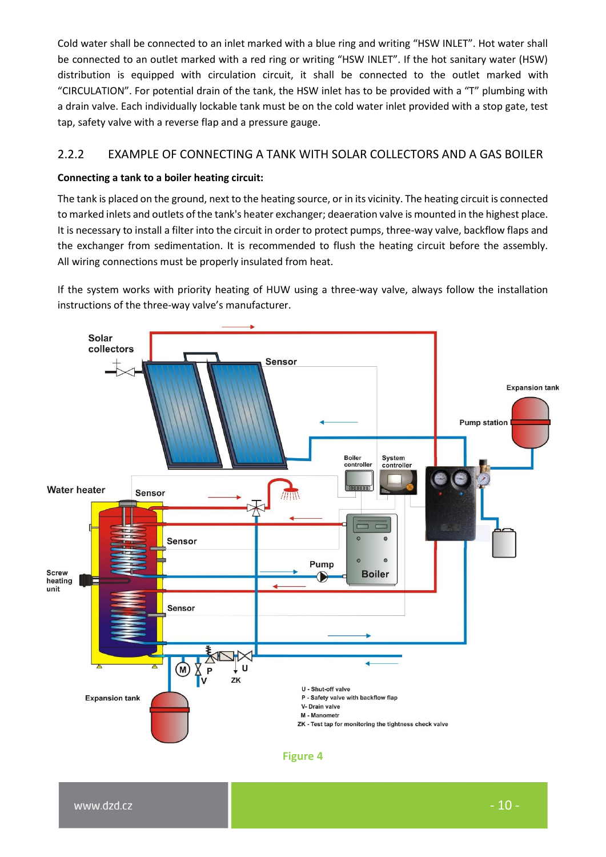Cold water shall be connected to an inlet marked with a blue ring and writing "HSW INLET". Hot water shall be connected to an outlet marked with a red ring or writing "HSW INLET". If the hot sanitary water (HSW) distribution is equipped with circulation circuit, it shall be connected to the outlet marked with "CIRCULATION". For potential drain of the tank, the HSW inlet has to be provided with a "T" plumbing with a drain valve. Each individually lockable tank must be on the cold water inlet provided with a stop gate, test tap, safety valve with a reverse flap and a pressure gauge.

#### <span id="page-9-0"></span>2.2.2 EXAMPLE OF CONNECTING A TANK WITH SOLAR COLLECTORS AND A GAS BOILER

#### **Connecting a tank to a boiler heating circuit:**

The tank is placed on the ground, next to the heating source, or in its vicinity. The heating circuit is connected to marked inlets and outlets of the tank's heater exchanger; deaeration valve is mounted in the highest place. It is necessary to install a filter into the circuit in order to protect pumps, three-way valve, backflow flaps and the exchanger from sedimentation. It is recommended to flush the heating circuit before the assembly. All wiring connections must be properly insulated from heat.

If the system works with priority heating of HUW using a three-way valve, always follow the installation instructions of the three-way valve's manufacturer.



**Figure 4**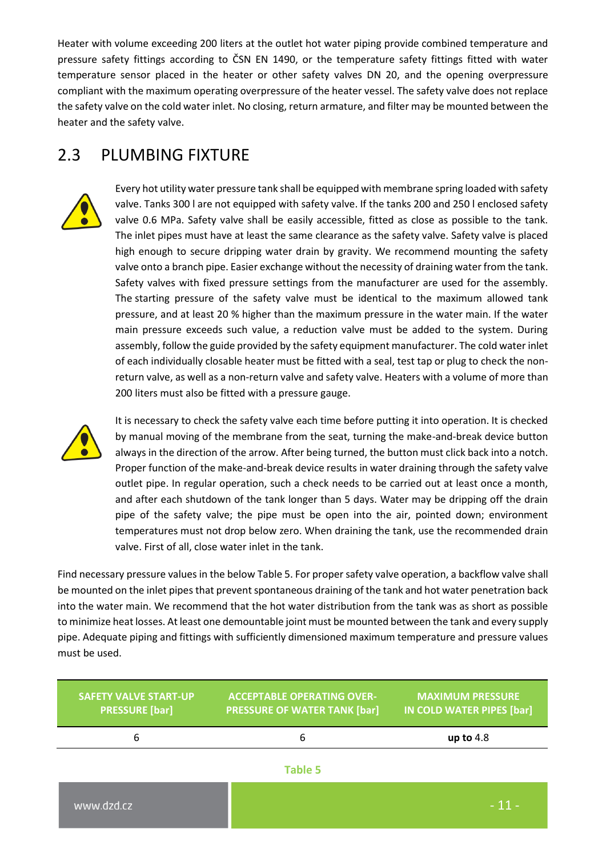Heater with volume exceeding 200 liters at the outlet hot water piping provide combined temperature and pressure safety fittings according to ČSN EN 1490, or the temperature safety fittings fitted with water temperature sensor placed in the heater or other safety valves DN 20, and the opening overpressure compliant with the maximum operating overpressure of the heater vessel. The safety valve does not replace the safety valve on the cold water inlet. No closing, return armature, and filter may be mounted between the heater and the safety valve.

### <span id="page-10-0"></span>2.3 PLUMBING FIXTURE



Every hot utility water pressure tank shall be equipped with membrane spring loaded with safety valve. Tanks 300 l are not equipped with safety valve. If the tanks 200 and 250 l enclosed safety valve 0.6 MPa. Safety valve shall be easily accessible, fitted as close as possible to the tank. The inlet pipes must have at least the same clearance as the safety valve. Safety valve is placed high enough to secure dripping water drain by gravity. We recommend mounting the safety valve onto a branch pipe. Easier exchange without the necessity of draining water from the tank. Safety valves with fixed pressure settings from the manufacturer are used for the assembly. The starting pressure of the safety valve must be identical to the maximum allowed tank pressure, and at least 20 % higher than the maximum pressure in the water main. If the water main pressure exceeds such value, a reduction valve must be added to the system. During assembly, follow the guide provided by the safety equipment manufacturer. The cold water inlet of each individually closable heater must be fitted with a seal, test tap or plug to check the nonreturn valve, as well as a non-return valve and safety valve. Heaters with a volume of more than 200 liters must also be fitted with a pressure gauge.



It is necessary to check the safety valve each time before putting it into operation. It is checked by manual moving of the membrane from the seat, turning the make-and-break device button always in the direction of the arrow. After being turned, the button must click back into a notch. Proper function of the make-and-break device results in water draining through the safety valve outlet pipe. In regular operation, such a check needs to be carried out at least once a month, and after each shutdown of the tank longer than 5 days. Water may be dripping off the drain pipe of the safety valve; the pipe must be open into the air, pointed down; environment temperatures must not drop below zero. When draining the tank, use the recommended drain valve. First of all, close water inlet in the tank.

Find necessary pressure values in the below [Table 5.](#page-10-1) For proper safety valve operation, a backflow valve shall be mounted on the inlet pipes that prevent spontaneous draining of the tank and hot water penetration back into the water main. We recommend that the hot water distribution from the tank was as short as possible to minimize heat losses. At least one demountable joint must be mounted between the tank and every supply pipe. Adequate piping and fittings with sufficiently dimensioned maximum temperature and pressure values must be used.

<span id="page-10-1"></span>

| <b>SAFETY VALVE START-UP</b><br><b>PRESSURE [bar]</b> | <b>ACCEPTABLE OPERATING OVER-</b><br><b>PRESSURE OF WATER TANK [bar]</b> | <b>MAXIMUM PRESSURE</b><br>IN COLD WATER PIPES [bar] |
|-------------------------------------------------------|--------------------------------------------------------------------------|------------------------------------------------------|
| 6                                                     | 6                                                                        | up to $4.8$                                          |
|                                                       | <b>Table 5</b>                                                           |                                                      |
| www.dzd.cz                                            |                                                                          |                                                      |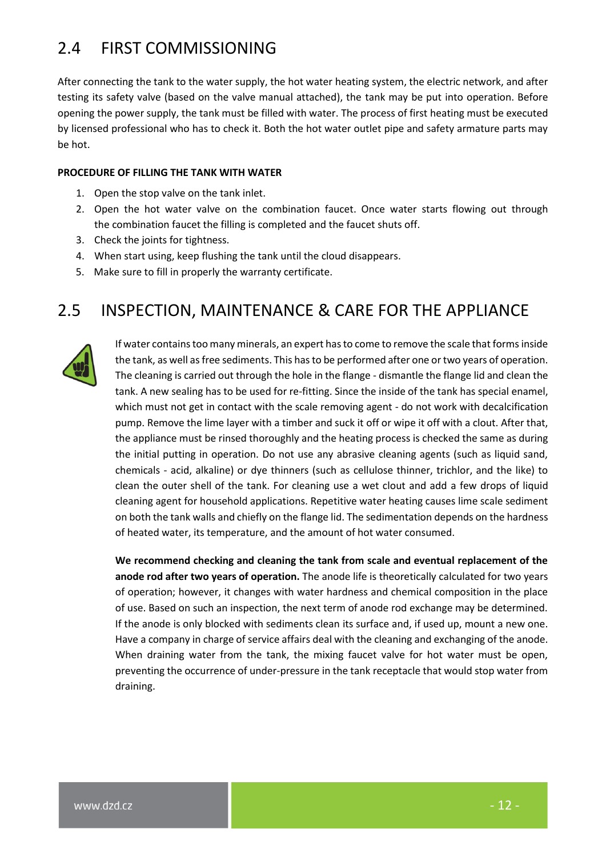## <span id="page-11-0"></span>2.4 FIRST COMMISSIONING

After connecting the tank to the water supply, the hot water heating system, the electric network, and after testing its safety valve (based on the valve manual attached), the tank may be put into operation. Before opening the power supply, the tank must be filled with water. The process of first heating must be executed by licensed professional who has to check it. Both the hot water outlet pipe and safety armature parts may be hot.

#### **PROCEDURE OF FILLING THE TANK WITH WATER**

- 1. Open the stop valve on the tank inlet.
- 2. Open the hot water valve on the combination faucet. Once water starts flowing out through the combination faucet the filling is completed and the faucet shuts off.
- 3. Check the joints for tightness.
- 4. When start using, keep flushing the tank until the cloud disappears.
- 5. Make sure to fill in properly the warranty certificate.

### <span id="page-11-1"></span>2.5 INSPECTION, MAINTENANCE & CARE FOR THE APPLIANCE



If water contains too many minerals, an expert has to come to remove the scale that forms inside the tank, as well asfree sediments. This has to be performed after one or two years of operation. The cleaning is carried out through the hole in the flange - dismantle the flange lid and clean the tank. A new sealing has to be used for re-fitting. Since the inside of the tank has special enamel, which must not get in contact with the scale removing agent - do not work with decalcification pump. Remove the lime layer with a timber and suck it off or wipe it off with a clout. After that, the appliance must be rinsed thoroughly and the heating process is checked the same as during the initial putting in operation. Do not use any abrasive cleaning agents (such as liquid sand, chemicals - acid, alkaline) or dye thinners (such as cellulose thinner, trichlor, and the like) to clean the outer shell of the tank. For cleaning use a wet clout and add a few drops of liquid cleaning agent for household applications. Repetitive water heating causes lime scale sediment on both the tank walls and chiefly on the flange lid. The sedimentation depends on the hardness of heated water, its temperature, and the amount of hot water consumed.

**We recommend checking and cleaning the tank from scale and eventual replacement of the anode rod after two years of operation.** The anode life is theoretically calculated for two years of operation; however, it changes with water hardness and chemical composition in the place of use. Based on such an inspection, the next term of anode rod exchange may be determined. If the anode is only blocked with sediments clean its surface and, if used up, mount a new one. Have a company in charge of service affairs deal with the cleaning and exchanging of the anode. When draining water from the tank, the mixing faucet valve for hot water must be open, preventing the occurrence of under-pressure in the tank receptacle that would stop water from draining.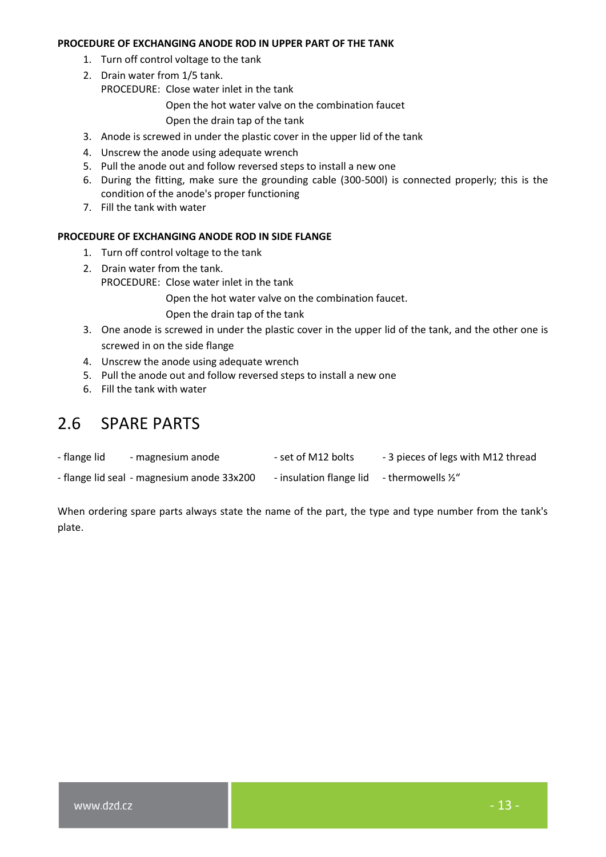#### **PROCEDURE OF EXCHANGING ANODE ROD IN UPPER PART OF THE TANK**

- 1. Turn off control voltage to the tank
- 2. Drain water from 1/5 tank. PROCEDURE: Close water inlet in the tank
	- Open the hot water valve on the combination faucet
		-
		- Open the drain tap of the tank
- 3. Anode is screwed in under the plastic cover in the upper lid of the tank
- 4. Unscrew the anode using adequate wrench
- 5. Pull the anode out and follow reversed steps to install a new one
- 6. During the fitting, make sure the grounding cable (300-500l) is connected properly; this is the condition of the anode's proper functioning
- 7. Fill the tank with water

#### **PROCEDURE OF EXCHANGING ANODE ROD IN SIDE FLANGE**

- 1. Turn off control voltage to the tank
- 2. Drain water from the tank.
	- PROCEDURE: Close water inlet in the tank

Open the hot water valve on the combination faucet.

Open the drain tap of the tank

- 3. One anode is screwed in under the plastic cover in the upper lid of the tank, and the other one is screwed in on the side flange
- 4. Unscrew the anode using adequate wrench
- 5. Pull the anode out and follow reversed steps to install a new one
- 6. Fill the tank with water

### <span id="page-12-0"></span>2.6 SPARE PARTS

| - flange lid | - magnesium anode                          | - set of M12 bolts      | - 3 pieces of legs with M12 thread |
|--------------|--------------------------------------------|-------------------------|------------------------------------|
|              | - flange lid seal - magnesium anode 33x200 | - insulation flange lid | - thermowells $\mathcal{V}$        |

When ordering spare parts always state the name of the part, the type and type number from the tank's plate.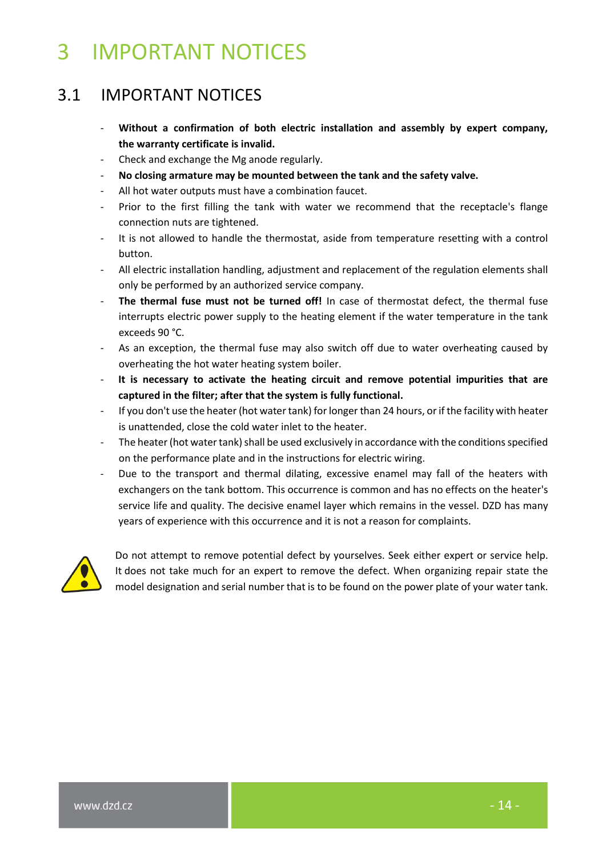## <span id="page-13-0"></span>3 IMPORTANT NOTICES

## <span id="page-13-1"></span>3.1 IMPORTANT NOTICES

- **Without a confirmation of both electric installation and assembly by expert company, the warranty certificate is invalid.**
- Check and exchange the Mg anode regularly.
- **No closing armature may be mounted between the tank and the safety valve.**
- All hot water outputs must have a combination faucet.
- Prior to the first filling the tank with water we recommend that the receptacle's flange connection nuts are tightened.
- It is not allowed to handle the thermostat, aside from temperature resetting with a control button.
- All electric installation handling, adjustment and replacement of the regulation elements shall only be performed by an authorized service company.
- The thermal fuse must not be turned off! In case of thermostat defect, the thermal fuse interrupts electric power supply to the heating element if the water temperature in the tank exceeds 90 °C.
- As an exception, the thermal fuse may also switch off due to water overheating caused by overheating the hot water heating system boiler.
- **It is necessary to activate the heating circuit and remove potential impurities that are captured in the filter; after that the system is fully functional.**
- If you don't use the heater (hot water tank) for longer than 24 hours, or if the facility with heater is unattended, close the cold water inlet to the heater.
- The heater (hot water tank) shall be used exclusively in accordance with the conditions specified on the performance plate and in the instructions for electric wiring.
- Due to the transport and thermal dilating, excessive enamel may fall of the heaters with exchangers on the tank bottom. This occurrence is common and has no effects on the heater's service life and quality. The decisive enamel layer which remains in the vessel. DZD has many years of experience with this occurrence and it is not a reason for complaints.



Do not attempt to remove potential defect by yourselves. Seek either expert or service help. It does not take much for an expert to remove the defect. When organizing repair state the model designation and serial number that is to be found on the power plate of your water tank.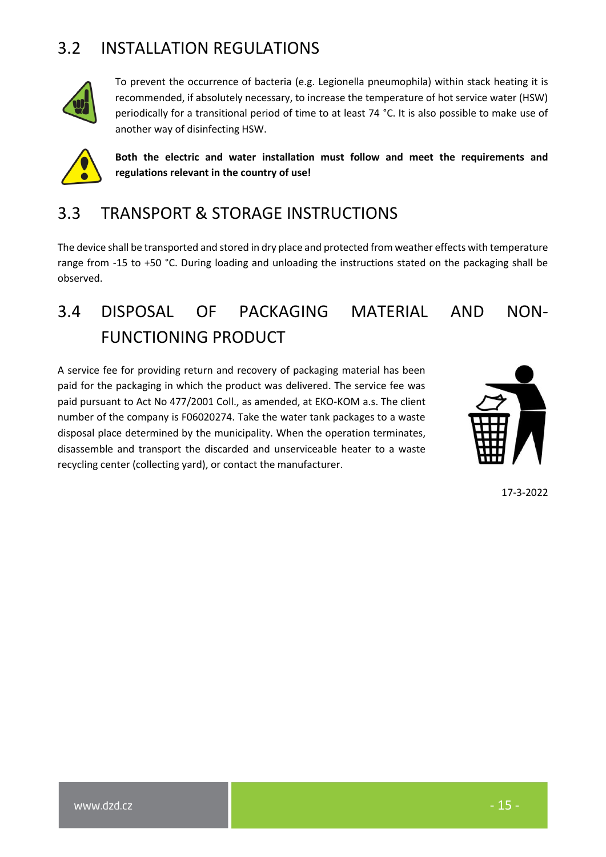## <span id="page-14-0"></span>3.2 INSTALLATION REGULATIONS



To prevent the occurrence of bacteria (e.g. Legionella pneumophila) within stack heating it is recommended, if absolutely necessary, to increase the temperature of hot service water (HSW) periodically for a transitional period of time to at least 74 °C. It is also possible to make use of another way of disinfecting HSW.



**Both the electric and water installation must follow and meet the requirements and regulations relevant in the country of use!**

## <span id="page-14-1"></span>3.3 TRANSPORT & STORAGE INSTRUCTIONS

The device shall be transported and stored in dry place and protected from weather effects with temperature range from -15 to +50 °C. During loading and unloading the instructions stated on the packaging shall be observed.

## <span id="page-14-2"></span>3.4 DISPOSAL OF PACKAGING MATERIAL AND NON-FUNCTIONING PRODUCT

A service fee for providing return and recovery of packaging material has been paid for the packaging in which the product was delivered. The service fee was paid pursuant to Act No 477/2001 Coll., as amended, at EKO-KOM a.s. The client number of the company is F06020274. Take the water tank packages to a waste disposal place determined by the municipality. When the operation terminates, disassemble and transport the discarded and unserviceable heater to a waste recycling center (collecting yard), or contact the manufacturer.



17-3-2022